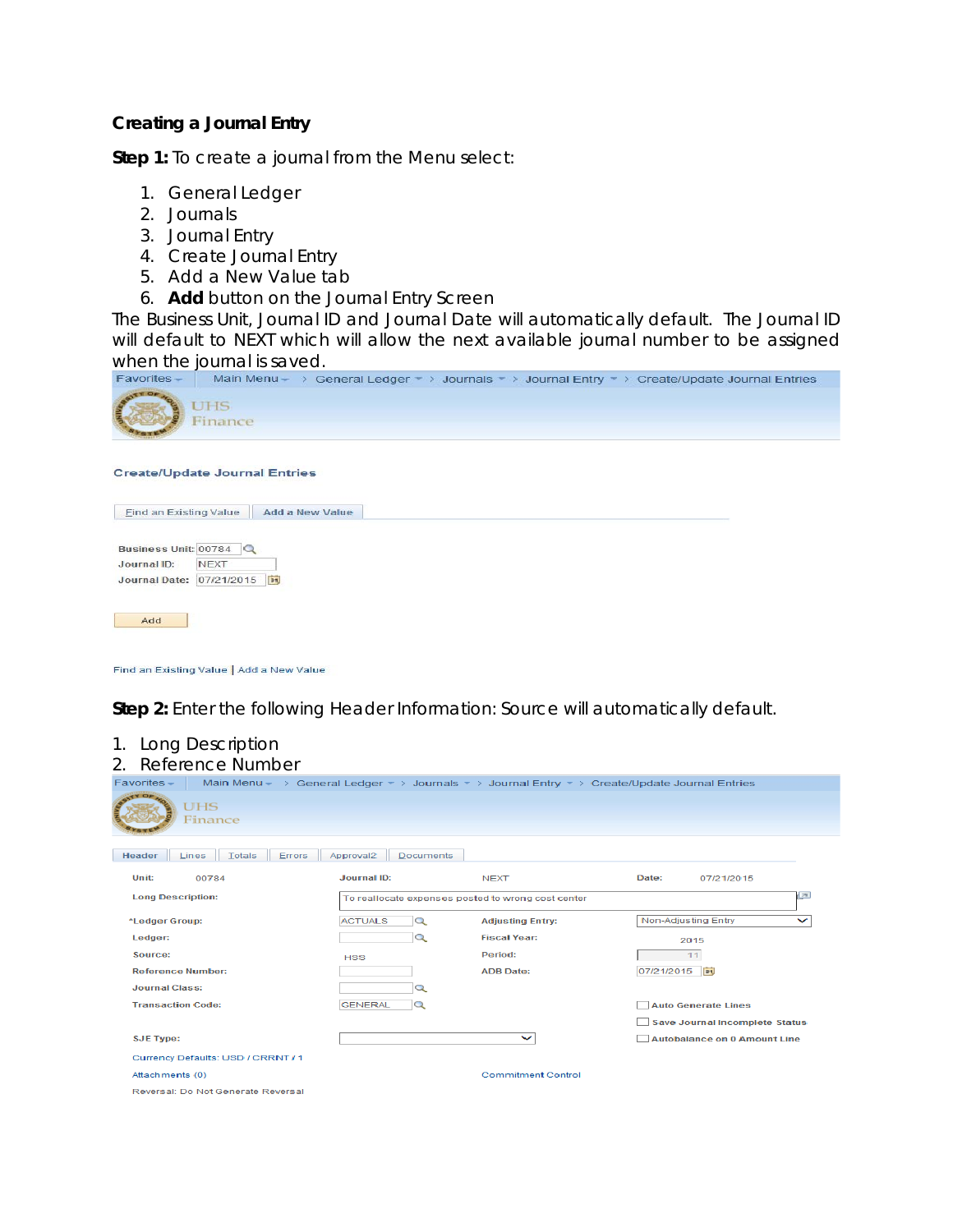## **Creating a Journal Entry**

**Step 1:** To create a journal from the Menu select:

- 1. General Ledger
- 2. Journals
- 3. Journal Entry
- 4. Create Journal Entry
- 5. Add a New Value tab
- 6. **Add** button on the Journal Entry Screen

The Business Unit, Journal ID and Journal Date will automatically default. The Journal ID will default to *NEXT* which will allow the next available journal number to be assigned When the journal is saved.<br>Favorites – Main Menu – > General Ledger + > Journals + > Journal Entry + > Create/Update Journal Entries



## **Create/Update Journal Entries**



Add

Find an Existing Value | Add a New Value

**Step 2:** Enter the following Header Information: Source will automatically default.

| 1.<br>Long Description                     |                                           |                                                                                                                             |                                       |
|--------------------------------------------|-------------------------------------------|-----------------------------------------------------------------------------------------------------------------------------|---------------------------------------|
| Reference Number<br>$2_{1}$                |                                           |                                                                                                                             |                                       |
| Favorites -                                |                                           | Main Menu - > General Ledger $\rightarrow$ Journals $\rightarrow$ Journal Entry $\rightarrow$ Create/Update Journal Entries |                                       |
| <b>UHS</b><br>Finance                      |                                           |                                                                                                                             |                                       |
| <b>Totals</b><br>Header<br>Errors<br>Lines | Approval <sub>2</sub><br><b>Documents</b> |                                                                                                                             |                                       |
| Unit:<br>00784                             | <b>Journal ID:</b>                        | <b>NEXT</b>                                                                                                                 | Date:<br>07/21/2015                   |
| <b>Long Description:</b>                   |                                           | To reallocate expenses posted to wrong cost center                                                                          | la                                    |
| *Ledger Group:                             | <b>ACTUALS</b><br>Q                       | <b>Adjusting Entry:</b>                                                                                                     | Non-Adjusting Entry<br>$\check{ }$    |
| Ledger:                                    | $\alpha$                                  | <b>Fiscal Year:</b>                                                                                                         | 2015                                  |
| Source:                                    | <b>HSS</b>                                | Period:                                                                                                                     | 11                                    |
| <b>Reference Number:</b>                   |                                           | <b>ADB Date:</b>                                                                                                            | 07/21/2015<br>B1                      |
| <b>Journal Class:</b>                      | Q                                         |                                                                                                                             |                                       |
| <b>Transaction Code:</b>                   | <b>GENERAL</b><br>Q                       |                                                                                                                             | <b>Auto Generate Lines</b>            |
|                                            |                                           |                                                                                                                             | <b>Save Journal Incomplete Status</b> |
| <b>SJE Type:</b>                           |                                           | $\check{ }$                                                                                                                 | Autobalance on 0 Amount Line          |
| Currency Defaults: USD / CRRNT / 1         |                                           |                                                                                                                             |                                       |
| Attachments (0)                            |                                           | <b>Commitment Control</b>                                                                                                   |                                       |
| Reversal: Do Not Cenerate Reversal         |                                           |                                                                                                                             |                                       |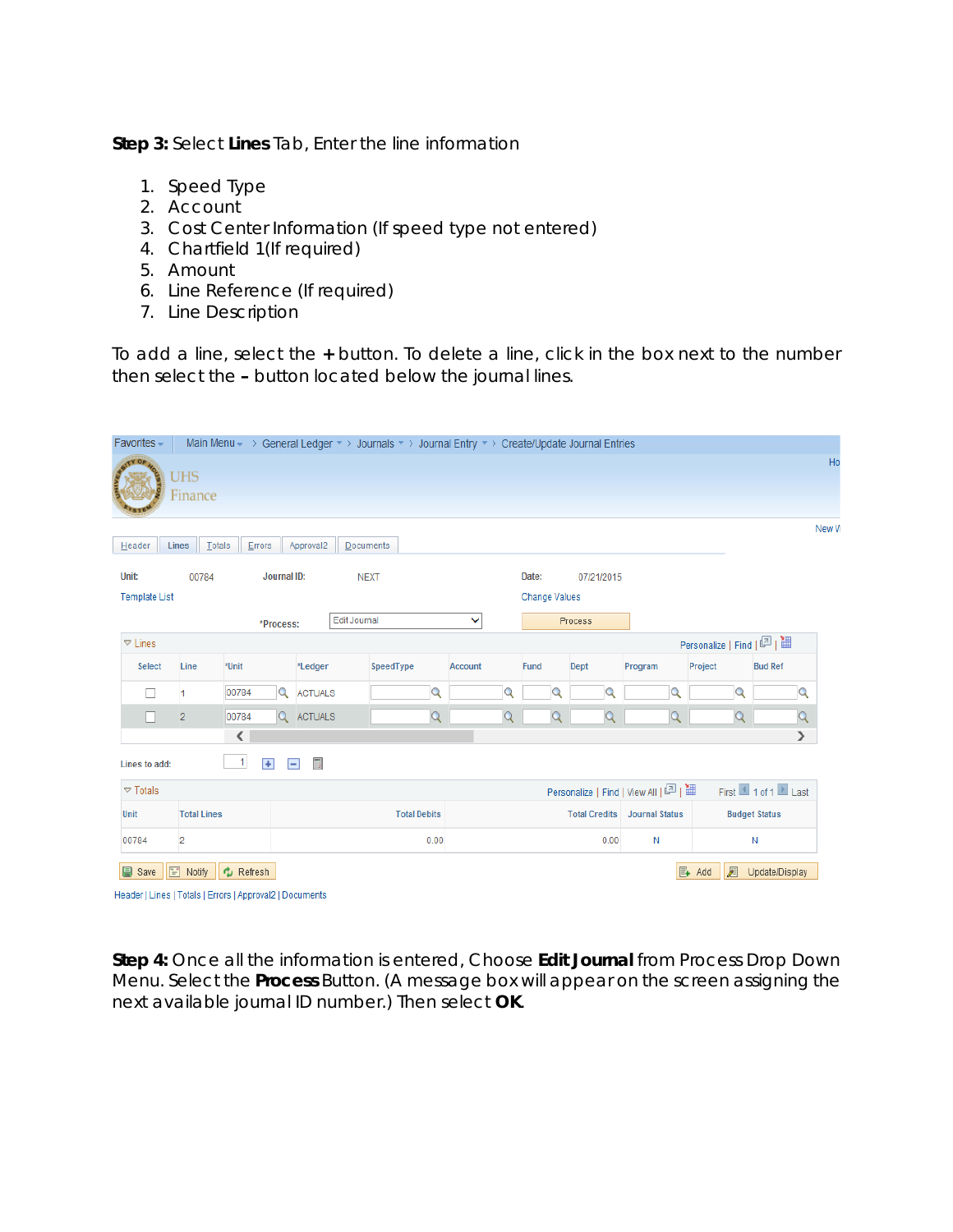**Step 3:** Select **Lines** Tab, Enter the line information

- 1. Speed Type
- 2. Account
- 3. Cost Center Information (If speed type not entered)
- 4. Chartfield 1(If required)
- 5. Amount
- 6. Line Reference (If required)
- 7. Line Description

To add a line, select the **+** button. To delete a line, click in the box next to the number then select the **–** button located below the journal lines.

| Favorites -            |                    |                                                                       |                            |              | Main Menu $\rightarrow$ General Ledger $\rightarrow$ Journals $\rightarrow$ Journal Entry $\rightarrow$ Create/Update Journal Entries |         |                      |               |              |            |                                   |                               |                      |                            |                |
|------------------------|--------------------|-----------------------------------------------------------------------|----------------------------|--------------|---------------------------------------------------------------------------------------------------------------------------------------|---------|----------------------|---------------|--------------|------------|-----------------------------------|-------------------------------|----------------------|----------------------------|----------------|
|                        | UHS<br>Finance     |                                                                       |                            |              |                                                                                                                                       |         |                      |               |              |            |                                   |                               |                      |                            | Ho             |
| Header                 | Totals<br>Lines    | Errors                                                                | Approval2                  | Documents    |                                                                                                                                       |         |                      |               |              |            |                                   |                               |                      |                            | New W          |
| Unit:                  | 00784              |                                                                       | Journal ID:                | <b>NEXT</b>  |                                                                                                                                       |         |                      | Date:         |              | 07/21/2015 |                                   |                               |                      |                            |                |
| <b>Template List</b>   |                    |                                                                       |                            |              |                                                                                                                                       |         |                      | Change Values |              |            |                                   |                               |                      |                            |                |
|                        |                    | *Process:                                                             |                            | Edit Journal |                                                                                                                                       | v       |                      |               |              | Process    |                                   |                               |                      |                            |                |
| $\nabla$ Lines         |                    |                                                                       |                            |              |                                                                                                                                       |         |                      |               |              |            |                                   |                               |                      | Personalize   Find   四   ■ |                |
| <b>Select</b>          | Line               | *Unit                                                                 | *Ledger                    |              | SpeedType                                                                                                                             | Account |                      | Fund          |              | Dept       | Program                           | Project                       |                      | <b>Bud Ref</b>             |                |
|                        | $\overline{1}$     | 00784                                                                 | $\alpha$<br><b>ACTUALS</b> |              | Q                                                                                                                                     |         | Q                    |               |              |            |                                   | Q                             | Q                    |                            | Q              |
| П                      | $\overline{2}$     | 00784                                                                 | Q ACTUALS                  |              | $\mathsf{Q}$                                                                                                                          |         | $\overline{Q}$       |               | $\mathsf{Q}$ | Q          |                                   | $\overline{Q}$                | $\overline{Q}$       |                            | $\overline{Q}$ |
|                        |                    | $\overline{\phantom{a}}$                                              |                            |              |                                                                                                                                       |         |                      |               |              |            |                                   |                               |                      |                            | $\rightarrow$  |
| Lines to add:          |                    | $\vert$<br>$+$                                                        | $\blacksquare$<br>$\equiv$ |              |                                                                                                                                       |         |                      |               |              |            |                                   |                               |                      |                            |                |
| $\triangledown$ Totals |                    |                                                                       |                            |              |                                                                                                                                       |         |                      |               |              |            | Personalize   Find   View All   2 |                               |                      | First 1 of 1 Last          |                |
| Unit                   | <b>Total Lines</b> |                                                                       | <b>Total Debits</b>        |              |                                                                                                                                       |         | <b>Total Credits</b> |               |              |            | <b>Journal Status</b>             |                               | <b>Budget Status</b> |                            |                |
| 00784                  | $\overline{2}$     |                                                                       | 0.00                       |              |                                                                                                                                       |         | N<br>0.00            |               |              |            |                                   | Ν                             |                      |                            |                |
| <b>国</b> Save          | $\boxed{=}$ Notify | C Refresh<br>Header   Lines   Totals   Errors   Approval2   Documents |                            |              |                                                                                                                                       |         |                      |               |              |            |                                   | $\mathbb{E}_{\mathbf{+}}$ Add | Æ                    | Update/Display             |                |

**Step 4:** Once all the information is entered, Choose **Edit Journal** from Process Drop Down Menu. Select the **Process** Button. (*A message box will appear on the screen assigning the next available journal ID number*.) Then select **OK**.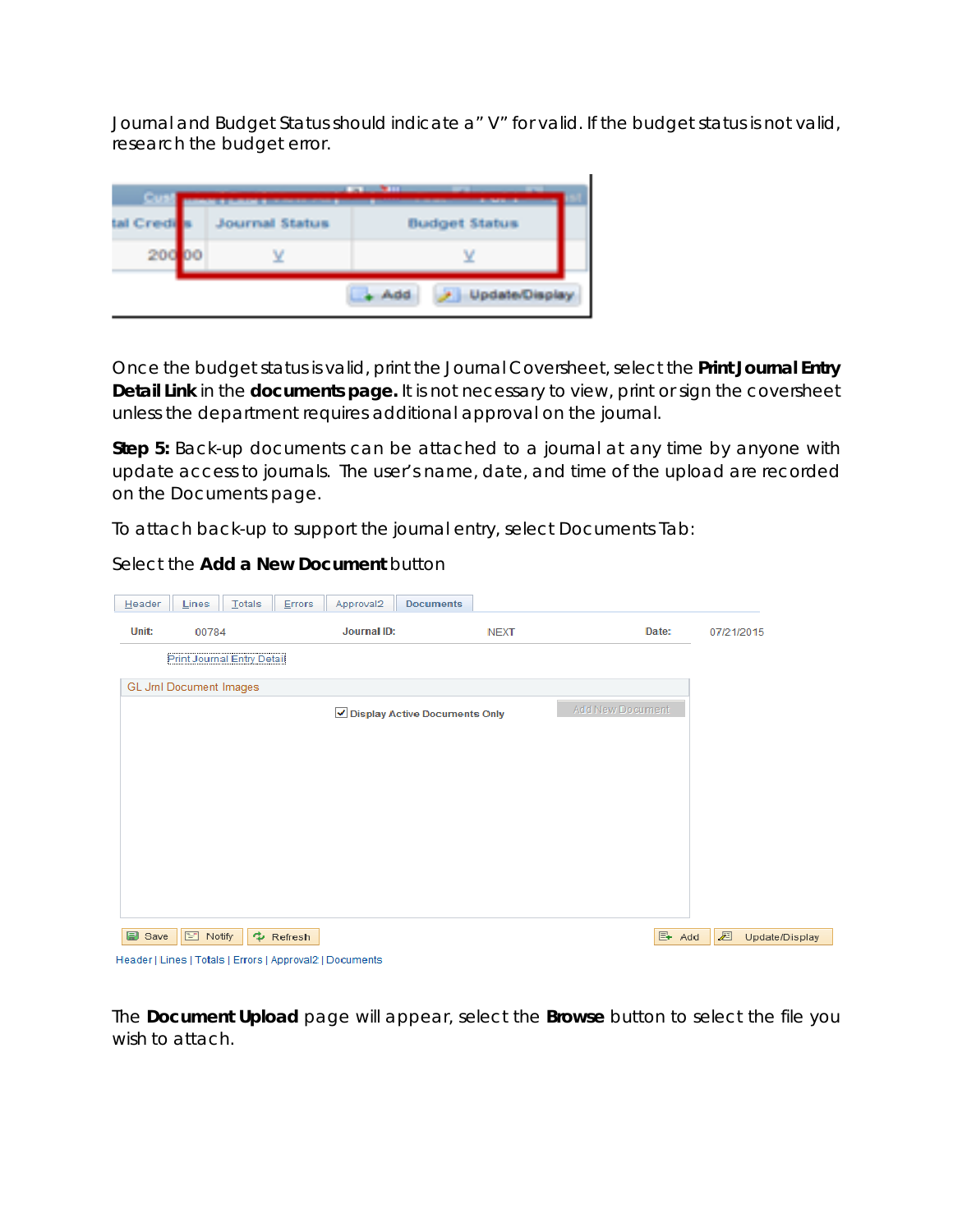Journal and Budget Status should indicate a" V" for valid. If the budget status is not valid, research the budget error.



Once the budget status is valid, print the Journal Coversheet, select the **Print Journal Entry Detail Link** in the **documents page.** It is not necessary to view, print or sign the coversheet unless the department requires additional approval on the journal.

**Step 5:** Back-up documents can be attached to a journal at any time by anyone with update access to journals. The user's name, date, and time of the upload are recorded on the Documents page.

To attach back-up to support the journal entry, select Documents Tab:

| Header        | Totals<br>Lines                   | Errors<br>Approval2<br><b>Documents</b>                  |             |                         |                     |
|---------------|-----------------------------------|----------------------------------------------------------|-------------|-------------------------|---------------------|
| Unit:         | 00784                             | Journal ID:                                              | <b>NEXT</b> | Date:                   | 07/21/2015          |
|               | <b>Print Journal Entry Detail</b> |                                                          |             |                         |                     |
|               | <b>GL Jml Document Images</b>     |                                                          |             |                         |                     |
|               |                                   | √ Display Active Documents Only                          |             | <b>Add New Document</b> |                     |
|               |                                   |                                                          |             |                         |                     |
|               |                                   |                                                          |             |                         |                     |
|               |                                   |                                                          |             |                         |                     |
|               |                                   |                                                          |             |                         |                     |
|               |                                   |                                                          |             |                         |                     |
|               |                                   |                                                          |             |                         |                     |
|               |                                   |                                                          |             |                         |                     |
| <b>■</b> Save | <b>E</b> Notify                   | Refresh                                                  |             | $\mathbb{E}$ Add        | 囩<br>Update/Display |
|               |                                   | Header   Lines   Totals   Errors   Approval2   Documents |             |                         |                     |

Select the **Add a New Document** button

The **Document Upload** page will appear, select the **Browse** button to select the file you wish to attach.